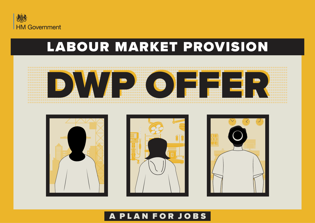

### LABOUR MARKET PROVISION









#### PLAN FOR JOBS A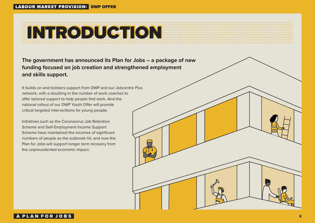# INTRODUCTION

**The government has announced its Plan for Jobs – a package of new funding focused on job creation and strengthened employment and skills support.**

It builds on and bolsters support from DWP and our Jobcentre Plus network, with a doubling in the number of work coaches to offer tailored support to help people find work. And the national rollout of our DWP Youth Offer will provide critical targeted interventions for young people.

Initiatives such as the Coronavirus Job Retention Scheme and Self-Employment Income Support Scheme have maintained the incomes of significant numbers of people as the outbreak hit, and now the Plan for Jobs will support longer term recovery from the unprecedented economic impact.

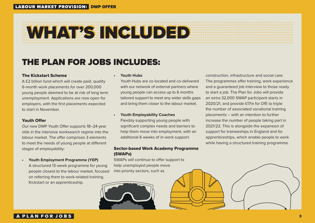# WHAT'S INCLUDED

### THE PLAN FOR JOBS INCLUDES:

#### The Kickstart Scheme

A £2 billion fund which will create paid, quality 6-month work placements for over 200,000 young people deemed to be at risk of long term unemployment. Applications are now open for employers, with the first placements expected to start in November.

#### Youth Offer

Our new DWP Youth Offer supports 18–24 year olds in the intensive worksearch regime into the labour market. The offer comprises 3 elements to meet the needs of young people at different stages of employability:

**• Youth Employment Programme (YEP)**  A structured 13-week programme for young people closest to the labour market, focused on referring them to work-related training, Kickstart or an apprenticeship.

#### **• Youth Hubs**

Youth Hubs are co-located and co-delivered with our network of external partners where young people can access up to 6 months tailored support to meet any wider skills gaps and bring them closer to the labour market.

#### **• Youth Employability Coaches**

Flexibly supporting young people with significant complex needs and barriers to help them move into employment, with an additional 6 weeks of in-work support.

#### Sector-based Work Academy Programme (SWAPs)

SWAPs will continue to offer support to help unemployed people move into priority sectors, such as



construction, infrastructure and social care. The programmes offer training, work experience and a guaranteed job interview to those ready to start a job. The Plan for Jobs will provide an extra 32,000 SWAP participant starts in 2020/21, and provide £17m for DfE to triple the number of associated vocational training placements – with an intention to further increase the number of people taking part in 2021/22. This is alongside the expansion of support for traineeships in England and for apprenticeships, which enable people to work while having a structured training programme.